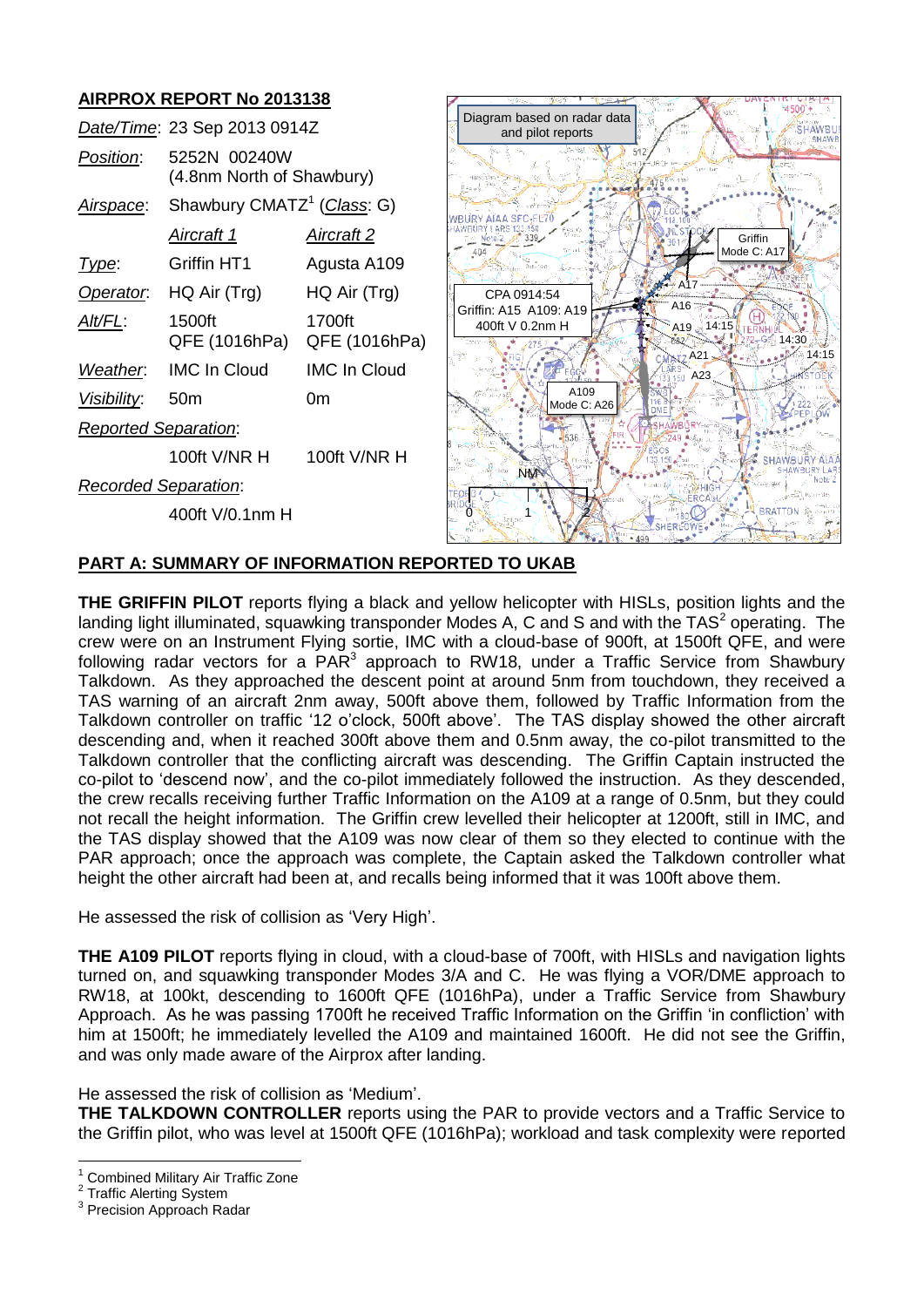# **AIRPROX REPORT No 2013138**

|                             | Date/Time: 23 Sep 2013 0914Z              |                         |
|-----------------------------|-------------------------------------------|-------------------------|
| <i>Position:</i>            | 5252N 00240W<br>(4.8nm North of Shawbury) |                         |
| Airspace:                   | Shawbury CMATZ <sup>1</sup> (Class: G)    |                         |
|                             | <u>Aircraft 1</u>                         | <u>Aircraft 2</u>       |
| Type:                       | Griffin HT1                               | Agusta A109             |
| Operator.                   | HQ Air (Trg)                              | HQ Air (Trg)            |
| Alt/FL:                     | 1500ft<br>QFE (1016hPa)                   | 1700ft<br>QFE (1016hPa) |
| Weather.                    | <b>IMC In Cloud</b>                       | <b>IMC In Cloud</b>     |
| Visibility:                 | 50 <sub>m</sub>                           | 0m                      |
| <b>Reported Separation:</b> |                                           |                         |
|                             | 100ft V/NR H                              | 100ft $V/NR$ H          |
| Recorded Separation:        |                                           |                         |
|                             | 400ft V/0.1nm H                           |                         |



## **PART A: SUMMARY OF INFORMATION REPORTED TO UKAB**

**THE GRIFFIN PILOT** reports flying a black and yellow helicopter with HISLs, position lights and the landing light illuminated, squawking transponder Modes A, C and S and with the TAS<sup>2</sup> operating. The crew were on an Instrument Flying sortie, IMC with a cloud-base of 900ft, at 1500ft QFE, and were following radar vectors for a  $PAR^3$  approach to RW18, under a Traffic Service from Shawbury Talkdown. As they approached the descent point at around 5nm from touchdown, they received a TAS warning of an aircraft 2nm away, 500ft above them, followed by Traffic Information from the Talkdown controller on traffic '12 o'clock, 500ft above'. The TAS display showed the other aircraft descending and, when it reached 300ft above them and 0.5nm away, the co-pilot transmitted to the Talkdown controller that the conflicting aircraft was descending. The Griffin Captain instructed the co-pilot to 'descend now', and the co-pilot immediately followed the instruction. As they descended, the crew recalls receiving further Traffic Information on the A109 at a range of 0.5nm, but they could not recall the height information. The Griffin crew levelled their helicopter at 1200ft, still in IMC, and the TAS display showed that the A109 was now clear of them so they elected to continue with the PAR approach; once the approach was complete, the Captain asked the Talkdown controller what height the other aircraft had been at, and recalls being informed that it was 100ft above them.

He assessed the risk of collision as 'Very High'.

**THE A109 PILOT** reports flying in cloud, with a cloud-base of 700ft, with HISLs and navigation lights turned on, and squawking transponder Modes 3/A and C. He was flying a VOR/DME approach to RW18, at 100kt, descending to 1600ft QFE (1016hPa), under a Traffic Service from Shawbury Approach. As he was passing 1700ft he received Traffic Information on the Griffin 'in confliction' with him at 1500ft; he immediately levelled the A109 and maintained 1600ft. He did not see the Griffin, and was only made aware of the Airprox after landing.

He assessed the risk of collision as 'Medium'.

**THE TALKDOWN CONTROLLER** reports using the PAR to provide vectors and a Traffic Service to the Griffin pilot, who was level at 1500ft QFE (1016hPa); workload and task complexity were reported

 $\overline{a}$ <sup>1</sup> Combined Military Air Traffic Zone

<sup>2</sup> Traffic Alerting System

<sup>&</sup>lt;sup>3</sup> Precision Approach Radar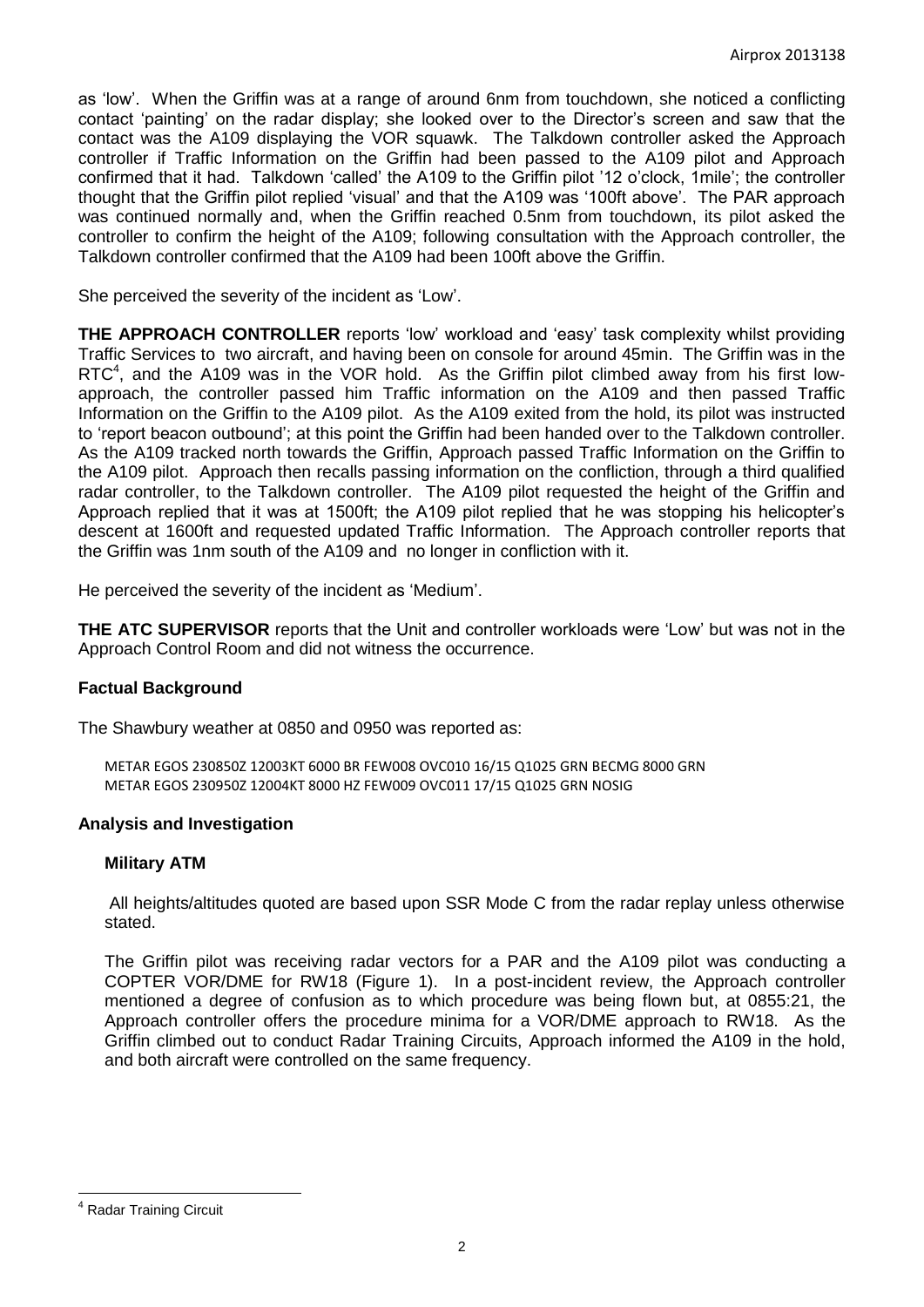as 'low'. When the Griffin was at a range of around 6nm from touchdown, she noticed a conflicting contact 'painting' on the radar display; she looked over to the Director's screen and saw that the contact was the A109 displaying the VOR squawk. The Talkdown controller asked the Approach controller if Traffic Information on the Griffin had been passed to the A109 pilot and Approach confirmed that it had. Talkdown 'called' the A109 to the Griffin pilot '12 o'clock, 1mile'; the controller thought that the Griffin pilot replied 'visual' and that the A109 was '100ft above'. The PAR approach was continued normally and, when the Griffin reached 0.5nm from touchdown, its pilot asked the controller to confirm the height of the A109; following consultation with the Approach controller, the Talkdown controller confirmed that the A109 had been 100ft above the Griffin.

She perceived the severity of the incident as 'Low'.

**THE APPROACH CONTROLLER** reports 'low' workload and 'easy' task complexity whilst providing Traffic Services to two aircraft, and having been on console for around 45min. The Griffin was in the RTC $<sup>4</sup>$ , and the A109 was in the VOR hold. As the Griffin pilot climbed away from his first low-</sup> approach, the controller passed him Traffic information on the A109 and then passed Traffic Information on the Griffin to the A109 pilot. As the A109 exited from the hold, its pilot was instructed to 'report beacon outbound'; at this point the Griffin had been handed over to the Talkdown controller. As the A109 tracked north towards the Griffin, Approach passed Traffic Information on the Griffin to the A109 pilot. Approach then recalls passing information on the confliction, through a third qualified radar controller, to the Talkdown controller. The A109 pilot requested the height of the Griffin and Approach replied that it was at 1500ft; the A109 pilot replied that he was stopping his helicopter's descent at 1600ft and requested updated Traffic Information. The Approach controller reports that the Griffin was 1nm south of the A109 and no longer in confliction with it.

He perceived the severity of the incident as 'Medium'.

**THE ATC SUPERVISOR** reports that the Unit and controller workloads were 'Low' but was not in the Approach Control Room and did not witness the occurrence.

### **Factual Background**

The Shawbury weather at 0850 and 0950 was reported as:

METAR EGOS 230850Z 12003KT 6000 BR FEW008 OVC010 16/15 Q1025 GRN BECMG 8000 GRN METAR EGOS 230950Z 12004KT 8000 HZ FEW009 OVC011 17/15 Q1025 GRN NOSIG

### **Analysis and Investigation**

### **Military ATM**

All heights/altitudes quoted are based upon SSR Mode C from the radar replay unless otherwise stated.

The Griffin pilot was receiving radar vectors for a PAR and the A109 pilot was conducting a COPTER VOR/DME for RW18 (Figure 1). In a post-incident review, the Approach controller mentioned a degree of confusion as to which procedure was being flown but, at 0855:21, the Approach controller offers the procedure minima for a VOR/DME approach to RW18. As the Griffin climbed out to conduct Radar Training Circuits, Approach informed the A109 in the hold, and both aircraft were controlled on the same frequency.

 $\overline{a}$ 

<sup>4</sup> Radar Training Circuit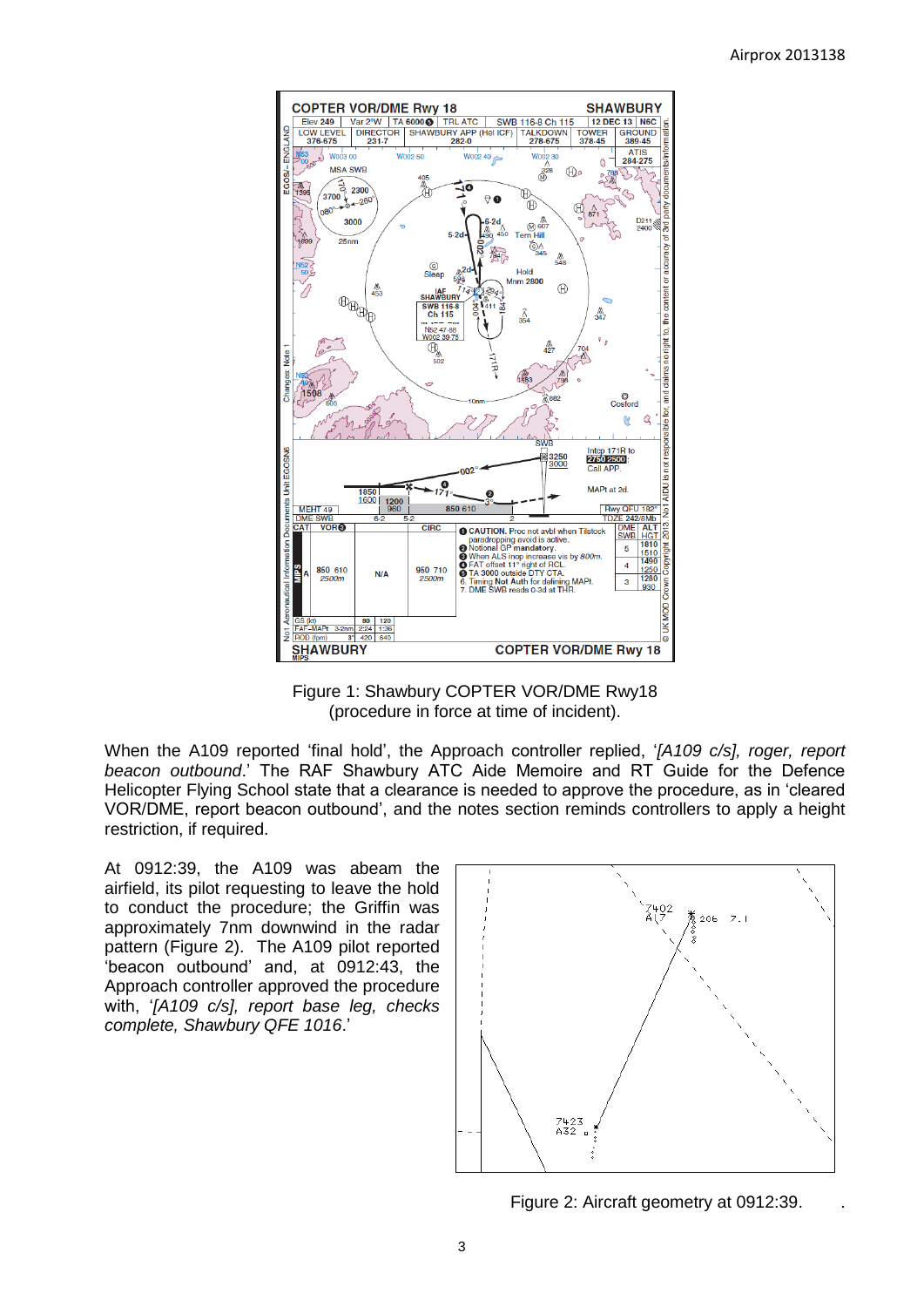

Figure 1: Shawbury COPTER VOR/DME Rwy18 (procedure in force at time of incident).

When the A109 reported 'final hold', the Approach controller replied, '*[A109 c/s], roger, report beacon outbound*.' The RAF Shawbury ATC Aide Memoire and RT Guide for the Defence Helicopter Flying School state that a clearance is needed to approve the procedure, as in 'cleared VOR/DME, report beacon outbound', and the notes section reminds controllers to apply a height restriction, if required.

At 0912:39, the A109 was abeam the airfield, its pilot requesting to leave the hold to conduct the procedure; the Griffin was approximately 7nm downwind in the radar pattern (Figure 2). The A109 pilot reported 'beacon outbound' and, at 0912:43, the Approach controller approved the procedure with, '*[A109 c/s], report base leg, checks complete, Shawbury QFE 1016*.'



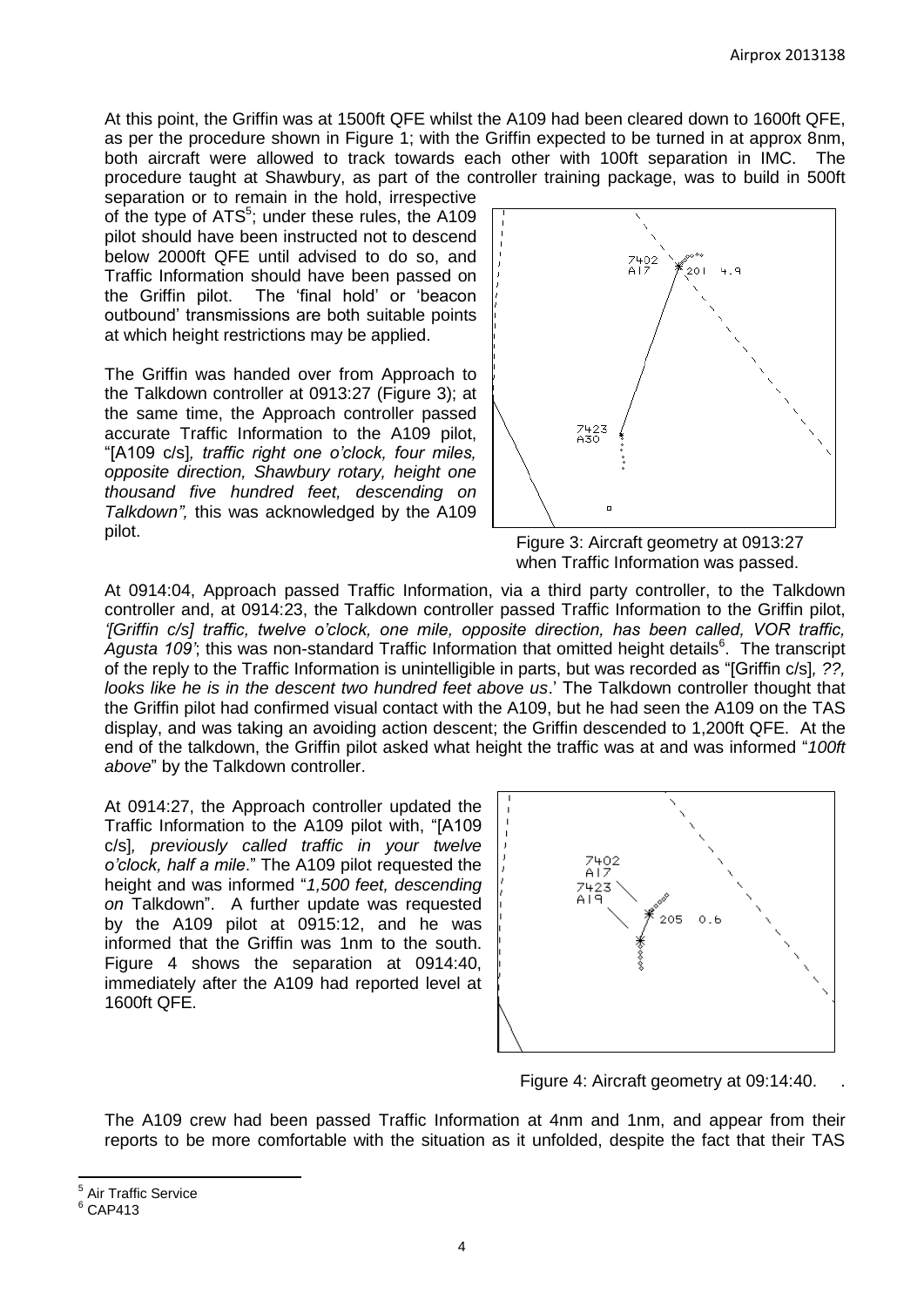At this point, the Griffin was at 1500ft QFE whilst the A109 had been cleared down to 1600ft QFE, as per the procedure shown in Figure 1; with the Griffin expected to be turned in at approx 8nm, both aircraft were allowed to track towards each other with 100ft separation in IMC. The procedure taught at Shawbury, as part of the controller training package, was to build in 500ft

separation or to remain in the hold, irrespective of the type of ATS<sup>5</sup>; under these rules, the A109 pilot should have been instructed not to descend below 2000ft QFE until advised to do so, and Traffic Information should have been passed on the Griffin pilot. The 'final hold' or 'beacon outbound' transmissions are both suitable points at which height restrictions may be applied.

The Griffin was handed over from Approach to the Talkdown controller at 0913:27 (Figure 3); at the same time, the Approach controller passed accurate Traffic Information to the A109 pilot, "[A109 c/s]*, traffic right one o'clock, four miles, opposite direction, Shawbury rotary, height one thousand five hundred feet, descending on Talkdown",* this was acknowledged by the A109 pilot.



Figure 3: Aircraft geometry at 0913:27 when Traffic Information was passed.

At 0914:04, Approach passed Traffic Information, via a third party controller, to the Talkdown controller and, at 0914:23, the Talkdown controller passed Traffic Information to the Griffin pilot, *'[Griffin c/s] traffic, twelve o'clock, one mile, opposite direction, has been called, VOR traffic,*  Agusta 109'; this was non-standard Traffic Information that omitted height details<sup>6</sup>. The transcript of the reply to the Traffic Information is unintelligible in parts, but was recorded as "[Griffin c/s]*, ??, looks like he is in the descent two hundred feet above us*.' The Talkdown controller thought that the Griffin pilot had confirmed visual contact with the A109, but he had seen the A109 on the TAS display, and was taking an avoiding action descent; the Griffin descended to 1,200ft QFE. At the end of the talkdown, the Griffin pilot asked what height the traffic was at and was informed "*100ft above*" by the Talkdown controller.

At 0914:27, the Approach controller updated the Traffic Information to the A109 pilot with, "[A109 c/s]*, previously called traffic in your twelve o'clock, half a mile*." The A109 pilot requested the height and was informed "*1,500 feet, descending on* Talkdown". A further update was requested by the A109 pilot at 0915:12, and he was informed that the Griffin was 1nm to the south. Figure 4 shows the separation at 0914:40, immediately after the A109 had reported level at 1600ft QFE.



Figure 4: Aircraft geometry at 09:14:40.

The A109 crew had been passed Traffic Information at 4nm and 1nm, and appear from their reports to be more comfortable with the situation as it unfolded, despite the fact that their TAS

 $\overline{\phantom{a}}$ 

<sup>&</sup>lt;sup>5</sup> Air Traffic Service

 $6$  CAP413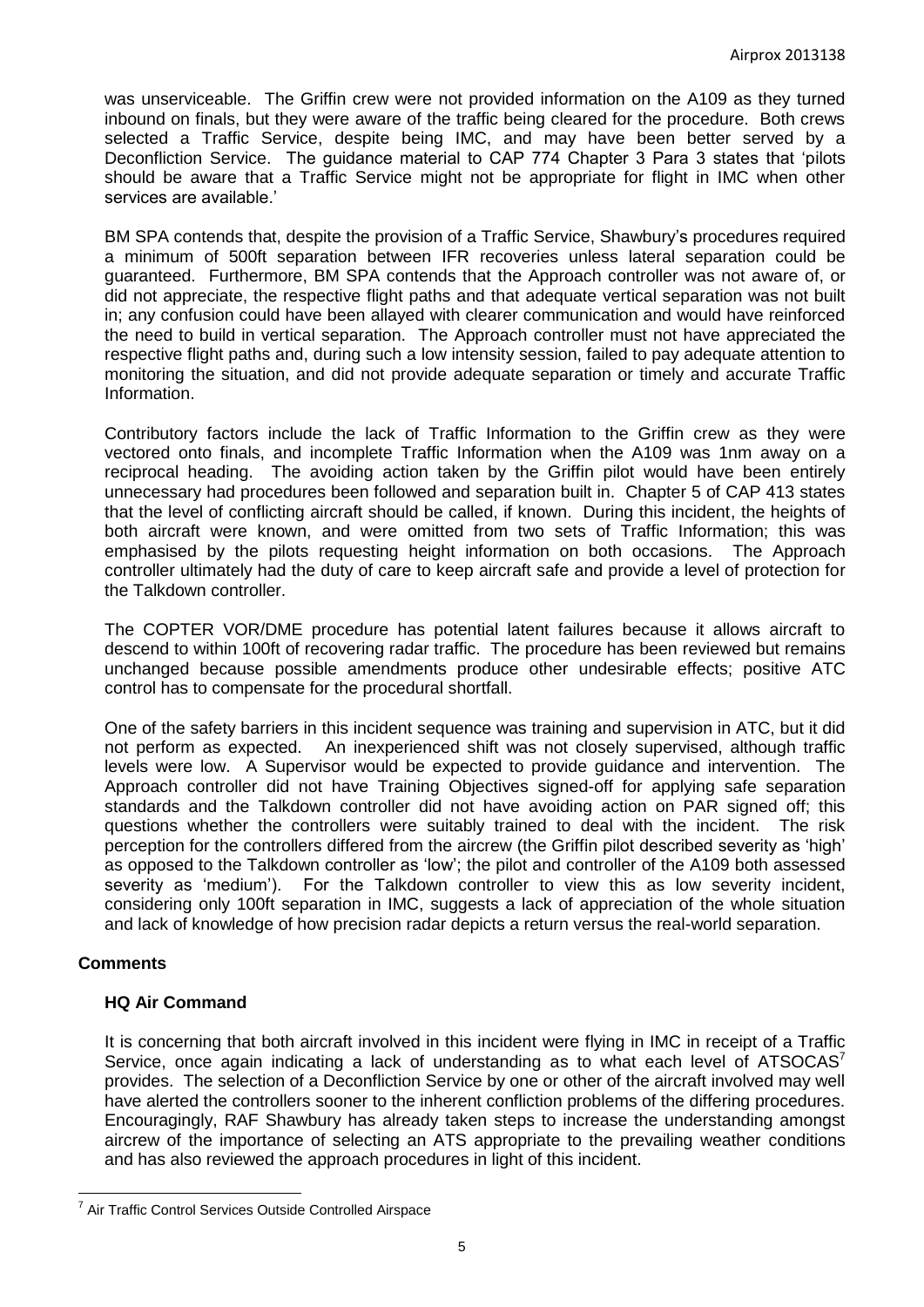was unserviceable. The Griffin crew were not provided information on the A109 as they turned inbound on finals, but they were aware of the traffic being cleared for the procedure. Both crews selected a Traffic Service, despite being IMC, and may have been better served by a Deconfliction Service. The guidance material to CAP 774 Chapter 3 Para 3 states that 'pilots should be aware that a Traffic Service might not be appropriate for flight in IMC when other services are available.'

BM SPA contends that, despite the provision of a Traffic Service, Shawbury's procedures required a minimum of 500ft separation between IFR recoveries unless lateral separation could be guaranteed. Furthermore, BM SPA contends that the Approach controller was not aware of, or did not appreciate, the respective flight paths and that adequate vertical separation was not built in; any confusion could have been allayed with clearer communication and would have reinforced the need to build in vertical separation. The Approach controller must not have appreciated the respective flight paths and, during such a low intensity session, failed to pay adequate attention to monitoring the situation, and did not provide adequate separation or timely and accurate Traffic Information.

Contributory factors include the lack of Traffic Information to the Griffin crew as they were vectored onto finals, and incomplete Traffic Information when the A109 was 1nm away on a reciprocal heading. The avoiding action taken by the Griffin pilot would have been entirely unnecessary had procedures been followed and separation built in. Chapter 5 of CAP 413 states that the level of conflicting aircraft should be called, if known. During this incident, the heights of both aircraft were known, and were omitted from two sets of Traffic Information; this was emphasised by the pilots requesting height information on both occasions. The Approach controller ultimately had the duty of care to keep aircraft safe and provide a level of protection for the Talkdown controller.

The COPTER VOR/DME procedure has potential latent failures because it allows aircraft to descend to within 100ft of recovering radar traffic. The procedure has been reviewed but remains unchanged because possible amendments produce other undesirable effects; positive ATC control has to compensate for the procedural shortfall.

One of the safety barriers in this incident sequence was training and supervision in ATC, but it did not perform as expected. An inexperienced shift was not closely supervised, although traffic levels were low. A Supervisor would be expected to provide guidance and intervention. The Approach controller did not have Training Objectives signed-off for applying safe separation standards and the Talkdown controller did not have avoiding action on PAR signed off; this questions whether the controllers were suitably trained to deal with the incident. The risk perception for the controllers differed from the aircrew (the Griffin pilot described severity as 'high' as opposed to the Talkdown controller as 'low'; the pilot and controller of the A109 both assessed severity as 'medium'). For the Talkdown controller to view this as low severity incident, considering only 100ft separation in IMC, suggests a lack of appreciation of the whole situation and lack of knowledge of how precision radar depicts a return versus the real-world separation.

# **Comments**

### **HQ Air Command**

It is concerning that both aircraft involved in this incident were flying in IMC in receipt of a Traffic Service, once again indicating a lack of understanding as to what each level of  $ATSOCAS<sup>7</sup>$ provides. The selection of a Deconfliction Service by one or other of the aircraft involved may well have alerted the controllers sooner to the inherent confliction problems of the differing procedures. Encouragingly, RAF Shawbury has already taken steps to increase the understanding amongst aircrew of the importance of selecting an ATS appropriate to the prevailing weather conditions and has also reviewed the approach procedures in light of this incident.

 $\overline{a}$ <sup>7</sup> Air Traffic Control Services Outside Controlled Airspace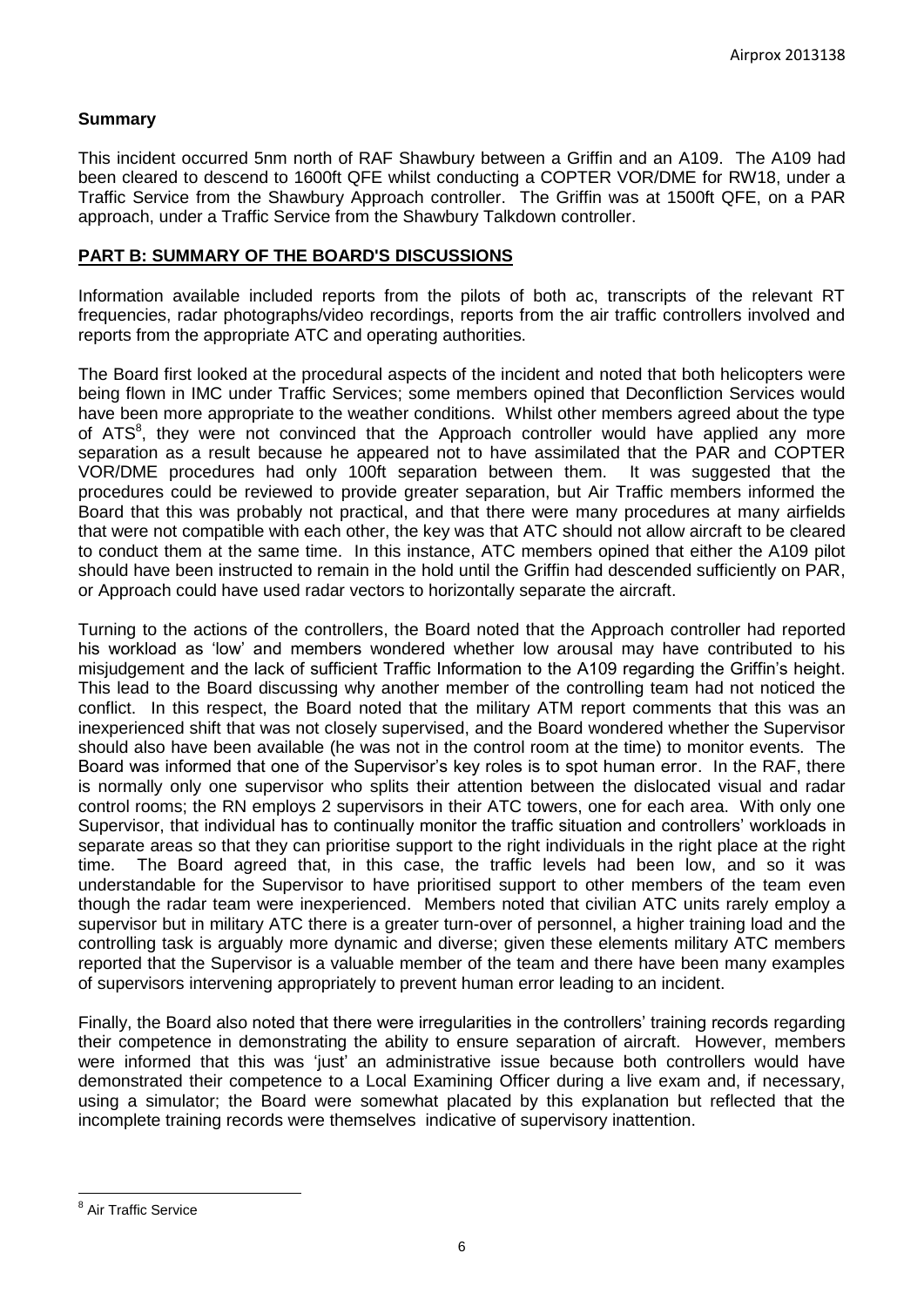### **Summary**

This incident occurred 5nm north of RAF Shawbury between a Griffin and an A109. The A109 had been cleared to descend to 1600ft QFE whilst conducting a COPTER VOR/DME for RW18, under a Traffic Service from the Shawbury Approach controller. The Griffin was at 1500ft QFE, on a PAR approach, under a Traffic Service from the Shawbury Talkdown controller.

#### **PART B: SUMMARY OF THE BOARD'S DISCUSSIONS**

Information available included reports from the pilots of both ac, transcripts of the relevant RT frequencies, radar photographs/video recordings, reports from the air traffic controllers involved and reports from the appropriate ATC and operating authorities.

The Board first looked at the procedural aspects of the incident and noted that both helicopters were being flown in IMC under Traffic Services; some members opined that Deconfliction Services would have been more appropriate to the weather conditions. Whilst other members agreed about the type of ATS<sup>8</sup>, they were not convinced that the Approach controller would have applied any more separation as a result because he appeared not to have assimilated that the PAR and COPTER VOR/DME procedures had only 100ft separation between them. It was suggested that the procedures could be reviewed to provide greater separation, but Air Traffic members informed the Board that this was probably not practical, and that there were many procedures at many airfields that were not compatible with each other, the key was that ATC should not allow aircraft to be cleared to conduct them at the same time. In this instance, ATC members opined that either the A109 pilot should have been instructed to remain in the hold until the Griffin had descended sufficiently on PAR, or Approach could have used radar vectors to horizontally separate the aircraft.

Turning to the actions of the controllers, the Board noted that the Approach controller had reported his workload as 'low' and members wondered whether low arousal may have contributed to his misjudgement and the lack of sufficient Traffic Information to the A109 regarding the Griffin's height. This lead to the Board discussing why another member of the controlling team had not noticed the conflict. In this respect, the Board noted that the military ATM report comments that this was an inexperienced shift that was not closely supervised, and the Board wondered whether the Supervisor should also have been available (he was not in the control room at the time) to monitor events. The Board was informed that one of the Supervisor's key roles is to spot human error. In the RAF, there is normally only one supervisor who splits their attention between the dislocated visual and radar control rooms; the RN employs 2 supervisors in their ATC towers, one for each area. With only one Supervisor, that individual has to continually monitor the traffic situation and controllers' workloads in separate areas so that they can prioritise support to the right individuals in the right place at the right time. The Board agreed that, in this case, the traffic levels had been low, and so it was understandable for the Supervisor to have prioritised support to other members of the team even though the radar team were inexperienced. Members noted that civilian ATC units rarely employ a supervisor but in military ATC there is a greater turn-over of personnel, a higher training load and the controlling task is arguably more dynamic and diverse; given these elements military ATC members reported that the Supervisor is a valuable member of the team and there have been many examples of supervisors intervening appropriately to prevent human error leading to an incident.

Finally, the Board also noted that there were irregularities in the controllers' training records regarding their competence in demonstrating the ability to ensure separation of aircraft. However, members were informed that this was 'just' an administrative issue because both controllers would have demonstrated their competence to a Local Examining Officer during a live exam and, if necessary, using a simulator; the Board were somewhat placated by this explanation but reflected that the incomplete training records were themselves indicative of supervisory inattention.

 $\overline{a}$ 

<sup>&</sup>lt;sup>8</sup> Air Traffic Service